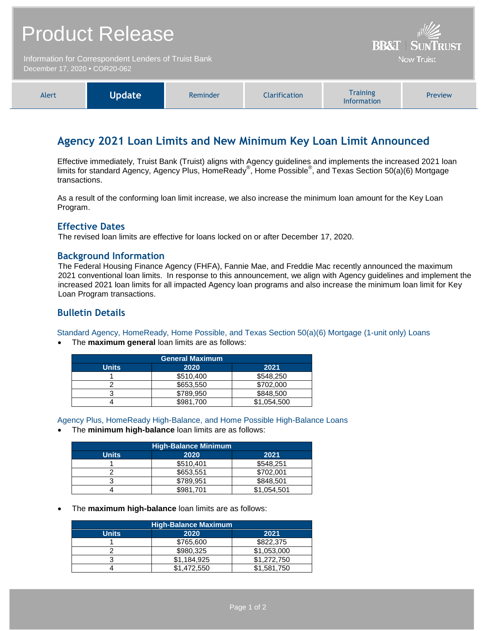| <b>Product Release</b>                                                                | William<br><b>BB&amp;T   SUNTRUST</b> |
|---------------------------------------------------------------------------------------|---------------------------------------|
| Information for Correspondent Lenders of Truist Bank<br>December 17, 2020 • COR20-062 | <b>Now Truist</b>                     |
|                                                                                       |                                       |

| Agency 2021 Loan Limits and New Minimum Key Loan Limit Announced |  |
|------------------------------------------------------------------|--|

Effective immediately, Truist Bank (Truist) aligns with Agency guidelines and implements the increased 2021 loan limits for standard Agency, Agency Plus, HomeReady®, Home Possible®, and Texas Section 50(a)(6) Mortgage transactions.

**Training** Information

Preview

As a result of the conforming loan limit increase, we also increase the minimum loan amount for the Key Loan Program.

### **Effective Dates**

The revised loan limits are effective for loans locked on or after December 17, 2020.

Alert **Update** Reminder Clarification

### **Background Information**

The Federal Housing Finance Agency (FHFA), Fannie Mae, and Freddie Mac recently announced the maximum 2021 conventional loan limits. In response to this announcement, we align with Agency guidelines and implement the increased 2021 loan limits for all impacted Agency loan programs and also increase the minimum loan limit for Key Loan Program transactions.

# **Bulletin Details**

Standard Agency, HomeReady, Home Possible, and Texas Section 50(a)(6) Mortgage (1-unit only) Loans

The **maximum general** loan limits are as follows:

| <b>General Maximum</b> |           |             |
|------------------------|-----------|-------------|
| <b>Units</b>           | 2020      | 2021        |
|                        | \$510,400 | \$548,250   |
|                        | \$653,550 | \$702,000   |
|                        | \$789.950 | \$848,500   |
|                        | \$981,700 | \$1,054,500 |

Agency Plus, HomeReady High-Balance, and Home Possible High-Balance Loans

The **minimum high-balance** loan limits are as follows:

| <b>High-Balance Minimum</b> |           |             |  |
|-----------------------------|-----------|-------------|--|
| <b>Units</b>                | 2020      | 2021        |  |
|                             | \$510.401 | \$548,251   |  |
|                             | \$653,551 | \$702.001   |  |
|                             | \$789,951 | \$848,501   |  |
|                             | \$981,701 | \$1,054,501 |  |

The **maximum high-balance** loan limits are as follows:

| <b>High-Balance Maximum</b> |             |             |
|-----------------------------|-------------|-------------|
| <b>Units</b>                | 2020        | 2021        |
|                             | \$765,600   | \$822,375   |
|                             | \$980.325   | \$1,053,000 |
|                             | \$1.184.925 | \$1,272,750 |
|                             | \$1,472,550 | \$1.581.750 |